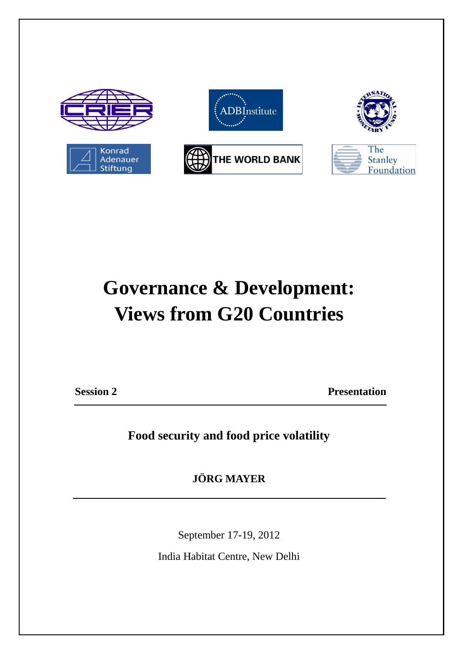

## **Governance & Development: Views from G20 Countries**

**Session 2 Presentation** 

**Food security and food price volatility**

**JÖRG MAYER** 

September 17-19, 2012

India Habitat Centre, New Delhi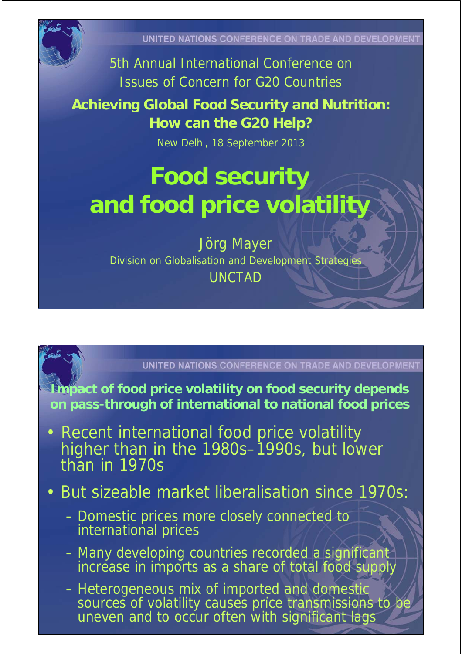5th Annual International Conference on Issues of Concern for G20 Countries

**Achieving Global Food Security and Nutrition: How can the G20 Help? How can the G20**

New Delhi, 18 September 2013

# **Food security and food p ice olatilit and food price volatility**

## Jörg Mayer Division on Globalisation and Development Strategies UNCTAD

#### UNITED NATIONS CONFERENCE ON TRADE AND DEVELOPMENT

**Impact of food price volatility on food security depends on pass-through of international to national food prices**

- Recent international food price volatility higher than in the 1980s-1990s, but lower than in 1970s
- But sizeable market liberalisation since 1970s:
	- Domestic prices more closely connected to international prices
	- Many developing countries recorded a significant increase in imports as a share of total food supply
	- Heterogeneous mix of imported and domestic sources of volatility causes price transmissions to be uneven and to occur often with significant lags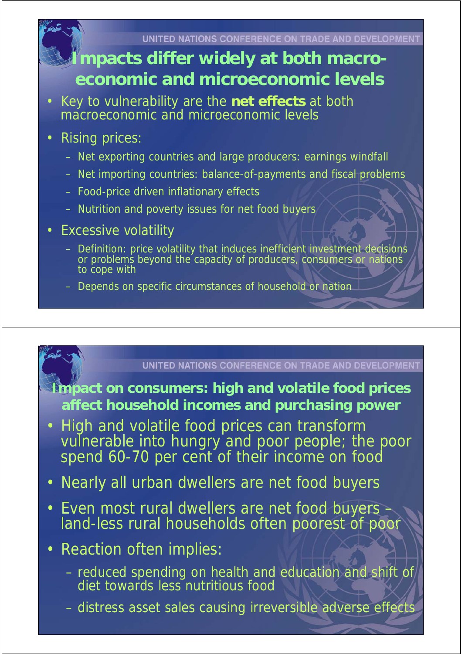## *Impacts differ widely at both macro***economic and microeconomic levels**

• Key to vulnerability are the **net effects** at both macroeconomic and microeconomic levels

#### **Rising prices:**

- Net exporting countries and large producers: earnings windfall
- Net importing countries: balance-of-payments and fiscal problems
- Food-price driven inflationary effects
- Nutrition and poverty issues for net food buyers
- Excessive volatility
	- Definition: price volatility that induces inefficient investment decisions or problems beyond the capacity of producers, consumers or nations to cope with
	- Depends on specific circumstances of household or nation

#### UNITED NATIONS CONFERENCE ON TRADE AND DEVELOPMENT

**Impact on consumers: high and volatile food prices affect household incomes and purchasing power**

- High and volatile food prices can transform vulnerable into hungry and poor people; the poor spend 60-70 per cent of their income on food
- Nearly all urban dwellers are net food buyers
- Even most rural dwellers are net food buyers land-less rural households often poorest of poor

## • Reaction often implies:

- reduced spending on health and education and shift of diet towards less nutritious food
- distress asset sales causing irreversible adverse effects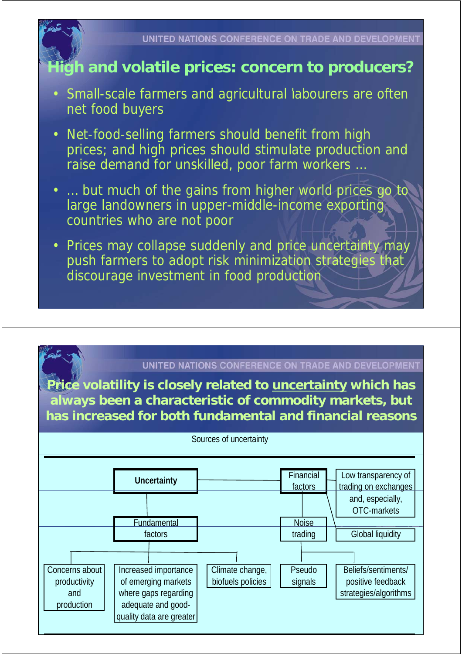## **High and volatile prices: concern to producers?**

- Small-scale farmers and agricultural labourers are often net food buyers
- Net-food-selling farmers should benefit from high prices; and high prices should stimulate production and raise demand for unskilled, poor farm workers ...
- ... but much of the gains from higher world prices go to large landowners in upper-middle-income exporting countries who are not poor
- Prices may collapse suddenly and price uncertainty may push farmers to adopt risk minimization strategies that discourage investment in food production



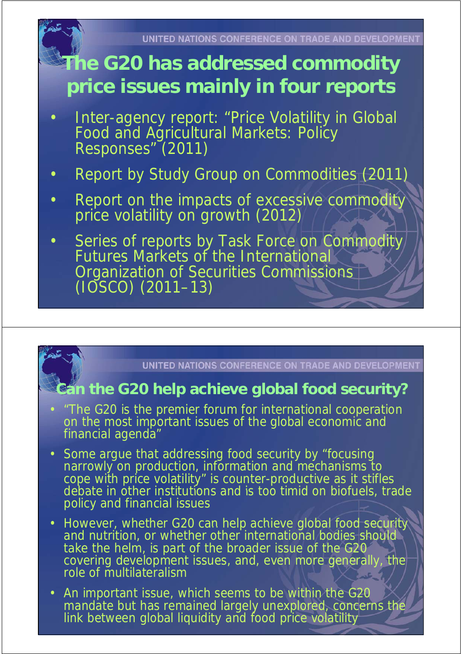

#### UNITED NATIONS CONFERENCE ON TRADE AND DEVELOPMENT

### **Can the G20 help achieve global food security?**

- "The G20 is the premier forum for international cooperation on the most important issues of the global economic and financial agenda"
- Some arque that addressing food security by "focusing narrowly on production, information and mechanisms to cope with price volatility" is counter-productive as it stifles debate in other institutions and is too timid on biofuels, trade policy and financial issues
- However, whether G20 can help achieve global food security and nutrition, or whether other international bodies should take the helm, is part of the broader issue of the G20 covering development issues, and, even more generally, the role of multilateralism
- An important issue, which seems to be within the G20 mandate but has remained largely unexplored, concerns the link between global liquidity and food price volatility